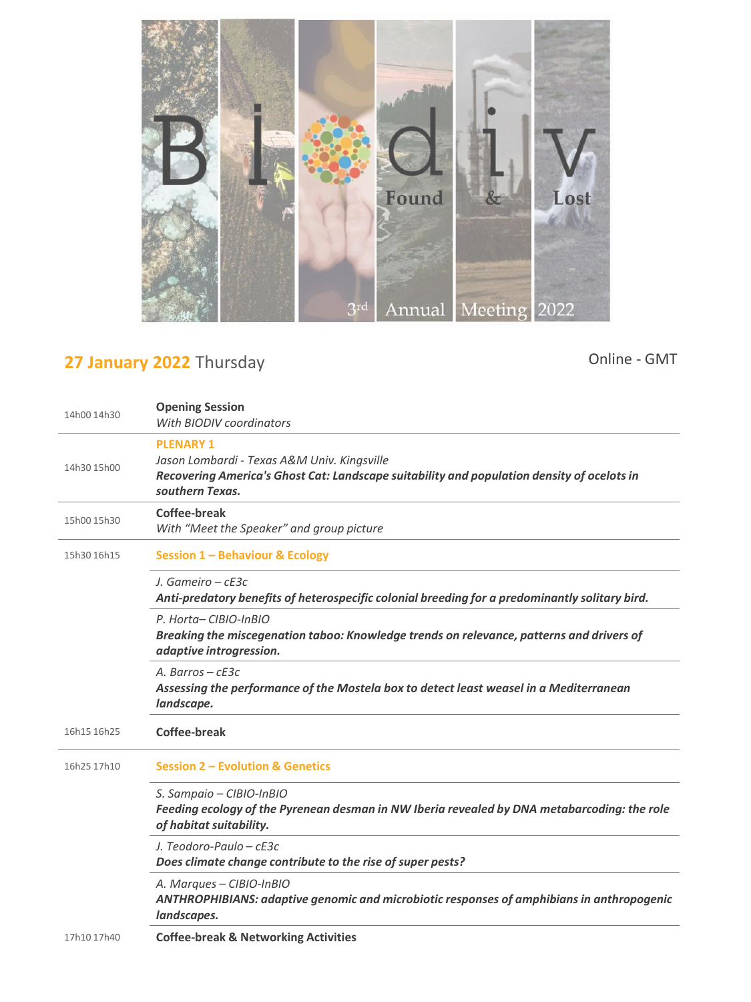

## **27 January 2022** Thursday

Online - GMT

| 14h00 14h30 | <b>Opening Session</b><br>With BIODIV coordinators                                                                                                                               |
|-------------|----------------------------------------------------------------------------------------------------------------------------------------------------------------------------------|
| 14h30 15h00 | <b>PLENARY 1</b><br>Jason Lombardi - Texas A&M Univ. Kingsville<br>Recovering America's Ghost Cat: Landscape suitability and population density of ocelots in<br>southern Texas. |
| 15h00 15h30 | <b>Coffee-break</b><br>With "Meet the Speaker" and group picture                                                                                                                 |
| 15h30 16h15 | <b>Session 1 - Behaviour &amp; Ecology</b>                                                                                                                                       |
|             | J. Gameiro – cE3c<br>Anti-predatory benefits of heterospecific colonial breeding for a predominantly solitary bird.                                                              |
|             | P. Horta-CIBIO-InBIO<br>Breaking the miscegenation taboo: Knowledge trends on relevance, patterns and drivers of<br>adaptive introgression.                                      |
|             | A. Barros – $cE3c$<br>Assessing the performance of the Mostela box to detect least weasel in a Mediterranean<br>landscape.                                                       |
| 16h15 16h25 | <b>Coffee-break</b>                                                                                                                                                              |
| 16h25 17h10 | <b>Session 2 - Evolution &amp; Genetics</b>                                                                                                                                      |
|             | S. Sampaio - CIBIO-InBIO<br>Feeding ecology of the Pyrenean desman in NW Iberia revealed by DNA metabarcoding: the role<br>of habitat suitability.                               |
|             | J. Teodoro-Paulo - cE3c<br>Does climate change contribute to the rise of super pests?                                                                                            |
|             | A. Marques - CIBIO-InBIO<br>ANTHROPHIBIANS: adaptive genomic and microbiotic responses of amphibians in anthropogenic<br>landscapes.                                             |
| 17h10 17h40 | <b>Coffee-break &amp; Networking Activities</b>                                                                                                                                  |
|             |                                                                                                                                                                                  |